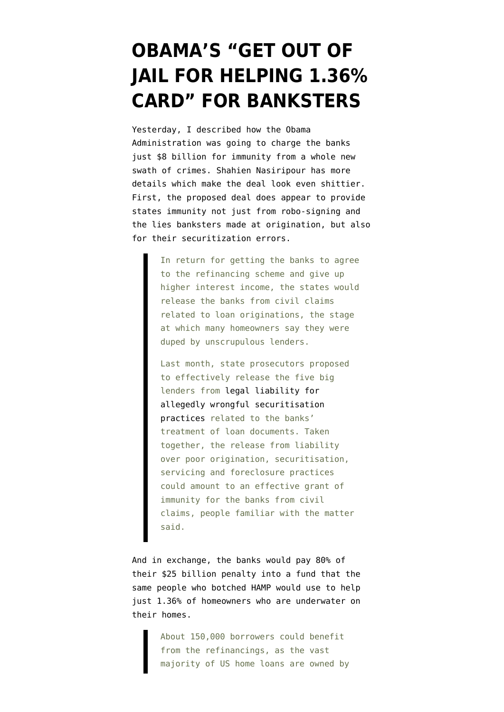## **[OBAMA'S "GET OUT OF](https://www.emptywheel.net/2011/10/20/obamas-get-out-of-jail-for-helping-1-36-card-for-banksters/) [JAIL FOR HELPING 1.36%](https://www.emptywheel.net/2011/10/20/obamas-get-out-of-jail-for-helping-1-36-card-for-banksters/) [CARD" FOR BANKSTERS](https://www.emptywheel.net/2011/10/20/obamas-get-out-of-jail-for-helping-1-36-card-for-banksters/)**

Yesterday, I [described](http://www.emptywheel.net/2011/10/19/obama-administrations-price-tag-for-bank-lying-predation-and-probably-securitization-fail-8-billion/) how the Obama Administration was going to charge the banks just \$8 billion for immunity from a whole new swath of crimes. Shahien Nasiripour has [more](http://www.ft.com/intl/cms/s/0/1ae9e320-fa98-11e0-8fe7-00144feab49a.html) [details](http://www.ft.com/intl/cms/s/0/1ae9e320-fa98-11e0-8fe7-00144feab49a.html) which make the deal look even shittier. First, the proposed deal does appear to provide states immunity not just from robo-signing and the lies banksters made at origination, but also for their securitization errors.

> In return for getting the banks to agree to the refinancing scheme and give up higher interest income, the states would release the banks from civil claims related to loan originations, the stage at which many homeowners say they were duped by unscrupulous lenders.

Last month, state prosecutors proposed to effectively release the five big lenders from [legal liability for](http://www.ft.com/intl/cms/s/0/3602091a-d7e0-11e0-a5d9-00144feabdc0.html#axzz1b2dfT48S) [allegedly wrongful securitisation](http://www.ft.com/intl/cms/s/0/3602091a-d7e0-11e0-a5d9-00144feabdc0.html#axzz1b2dfT48S) [practices](http://www.ft.com/intl/cms/s/0/3602091a-d7e0-11e0-a5d9-00144feabdc0.html#axzz1b2dfT48S) related to the banks' treatment of loan documents. Taken together, the release from liability over poor origination, securitisation, servicing and foreclosure practices could amount to an effective grant of immunity for the banks from civil claims, people familiar with the matter said.

And in exchange, the banks would pay 80% of their \$25 billion penalty into a fund that the same people who botched HAMP would use to help just 1.36% of homeowners who are underwater on their homes.

> About 150,000 borrowers could benefit from the refinancings, as the vast majority of US home loans are owned by